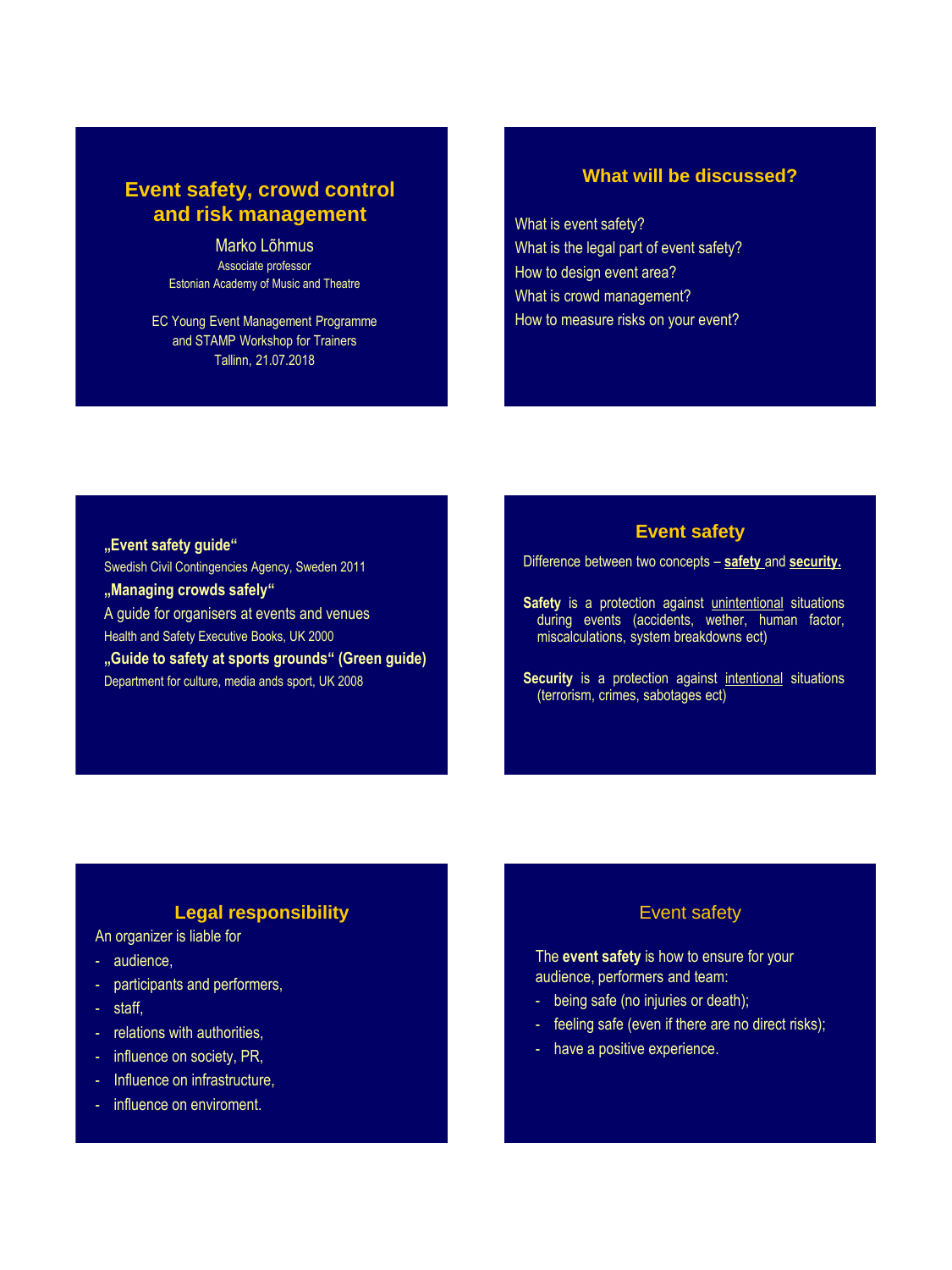# **Event safety, crowd control and risk management**

Marko Lõhmus Associate professor Estonian Academy of Music and Theatre

EC Young Event Management Programme and STAMP Workshop for Trainers Tallinn, 21.07.2018

# **What will be discussed?**

What is event safety? What is the legal part of event safety? How to design event area? What is crowd management? How to measure risks on your event?

**"Event safety guide"** Swedish Civil Contingencies Agency, Sweden 2011 **"Managing crowds safely"** A guide for organisers at events and venues Health and Safety Executive Books, UK 2000 **"Guide to safety at sports grounds" (Green guide)** Department for culture, media ands sport, UK 2008

### **Event safety**

Difference between two concepts – **safety** and **security.**

Safety is a protection against unintentional situations during events (accidents, wether, human factor, miscalculations, system breakdowns ect)

**Security** is a protection against intentional situations (terrorism, crimes, sabotages ect)

# **Legal responsibility**

An organizer is liable for

- audience,
- participants and performers,
- staff,
- relations with authorities,
- influence on society, PR,
- Influence on infrastructure,
- influence on enviroment.

### Event safety

The **event safety** is how to ensure for your audience, performers and team:

- being safe (no injuries or death);
- feeling safe (even if there are no direct risks);
- have a positive experience.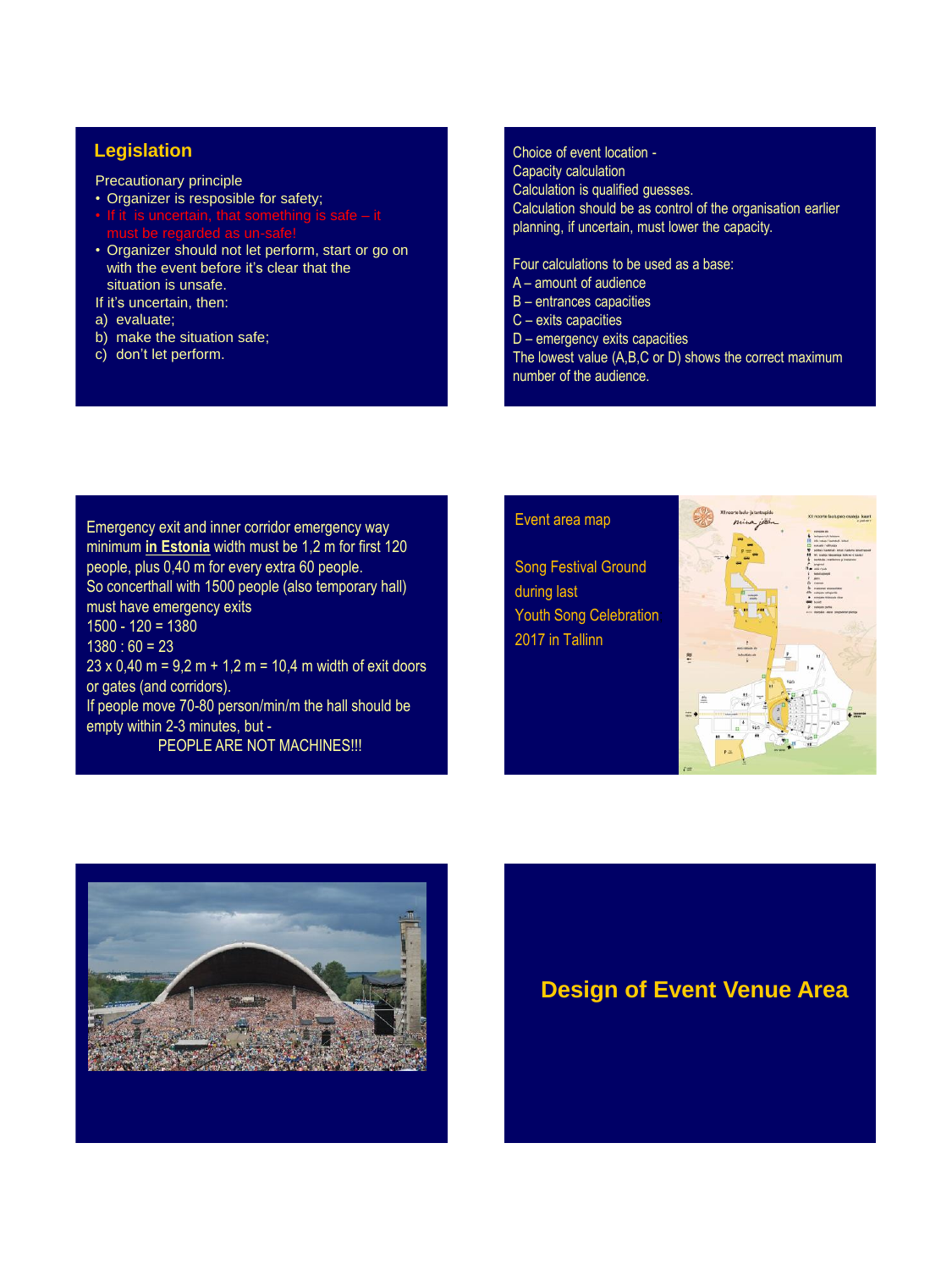Precautionary principle

- Organizer is resposible for safety;
- 
- Organizer should not let perform, start or go on with the event before it's clear that the situation is unsafe.

If it's uncertain, then:

- a) evaluate;
- b) make the situation safe;
- c) don't let perform.

#### **Legislation** Choice of event location -

Capacity calculation

Calculation is qualified guesses. Calculation should be as control of the organisation earlier planning, if uncertain, must lower the capacity.

Four calculations to be used as a base:

- A amount of audience
- B entrances capacities
- C exits capacities
- D emergency exits capacities

The lowest value (A,B,C or D) shows the correct maximum number of the audience.

Emergency exit and inner corridor emergency way minimum **in Estonia** width must be 1,2 m for first 120 people, plus 0,40 m for every extra 60 people. So concerthall with 1500 people (also temporary hall) must have emergency exits 1500 - 120 = 1380  $1380 : 60 = 23$  $23 \times 0,40$  m =  $\overline{9,2}$  m + 1,2 m = 10,4 m width of exit doors or gates (and corridors). If people move 70-80 person/min/m the hall should be empty within 2-3 minutes, but - PEOPLE ARE NOT MACHINES!!!

#### Event area map

Song Festival Ground during last Youth Song Celebration; 2017 in Tallinn





**Design of Event Venue Area**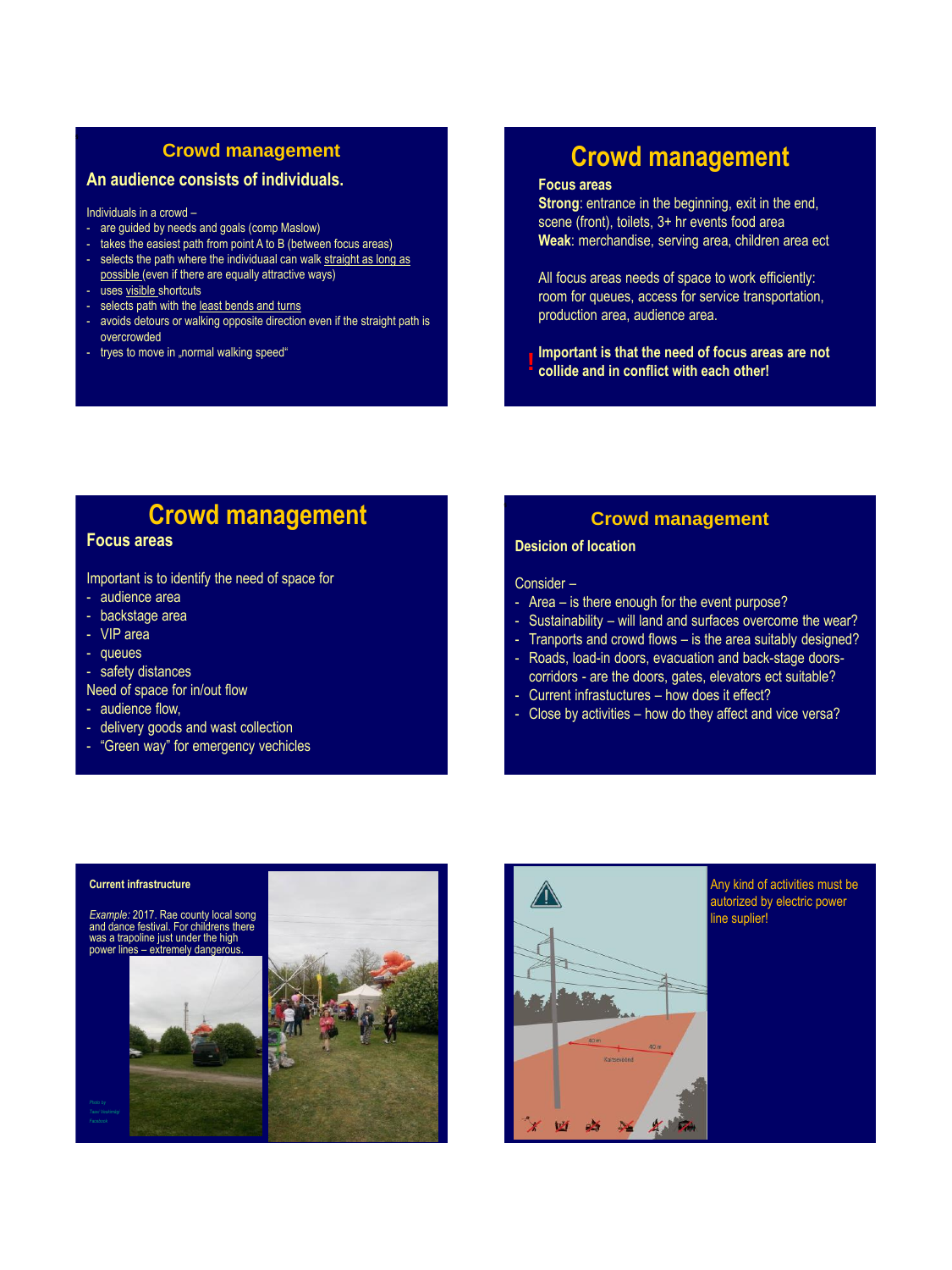# **Crowd management**

## **An audience consists of individuals.**

Individuals in a crowd –

- are guided by needs and goals (comp Maslow)
- takes the easiest path from point A to B (between focus areas)
- selects the path where the individuaal can walk straight as long as possible (even if there are equally attractive ways)
- uses visible shortcuts
- selects path with the least bends and turns
- avoids detours or walking opposite direction even if the straight path is overcrowded
- tryes to move in "normal walking speed"

# **Crowd management**

#### **Focus areas**

**Strong**: entrance in the beginning, exit in the end, scene (front), toilets, 3+ hr events food area **Weak**: merchandise, serving area, children area ect

All focus areas needs of space to work efficiently: room for queues, access for service transportation, production area, audience area.

**Important is that the need of focus areas are not collide and in conflict with each other!**

# **Crowd management**

# **Focus areas**

Important is to identify the need of space for

- audience area
- backstage area
- VIP area
- queues
- safety distances
- Need of space for in/out flow
- audience flow,
- delivery goods and wast collection
- "Green way" for emergency vechicles

### **Crowd management**

#### **Desicion of location**

Consider –

- Area is there enough for the event purpose?
- Sustainability will land and surfaces overcome the wear?
- Tranports and crowd flows is the area suitably designed?
- Roads, load-in doors, evacuation and back-stage doorscorridors - are the doors, gates, elevators ect suitable?
- Current infrastuctures how does it effect?
- Close by activities how do they affect and vice versa?

#### **Current infrastructure**

*Example:* 2017. Rae county local song and dance festival. For childrens there was a trapoline just under the high power lines – extremely dangerous.







Any kind of activities must be autorized by electric power line suplier!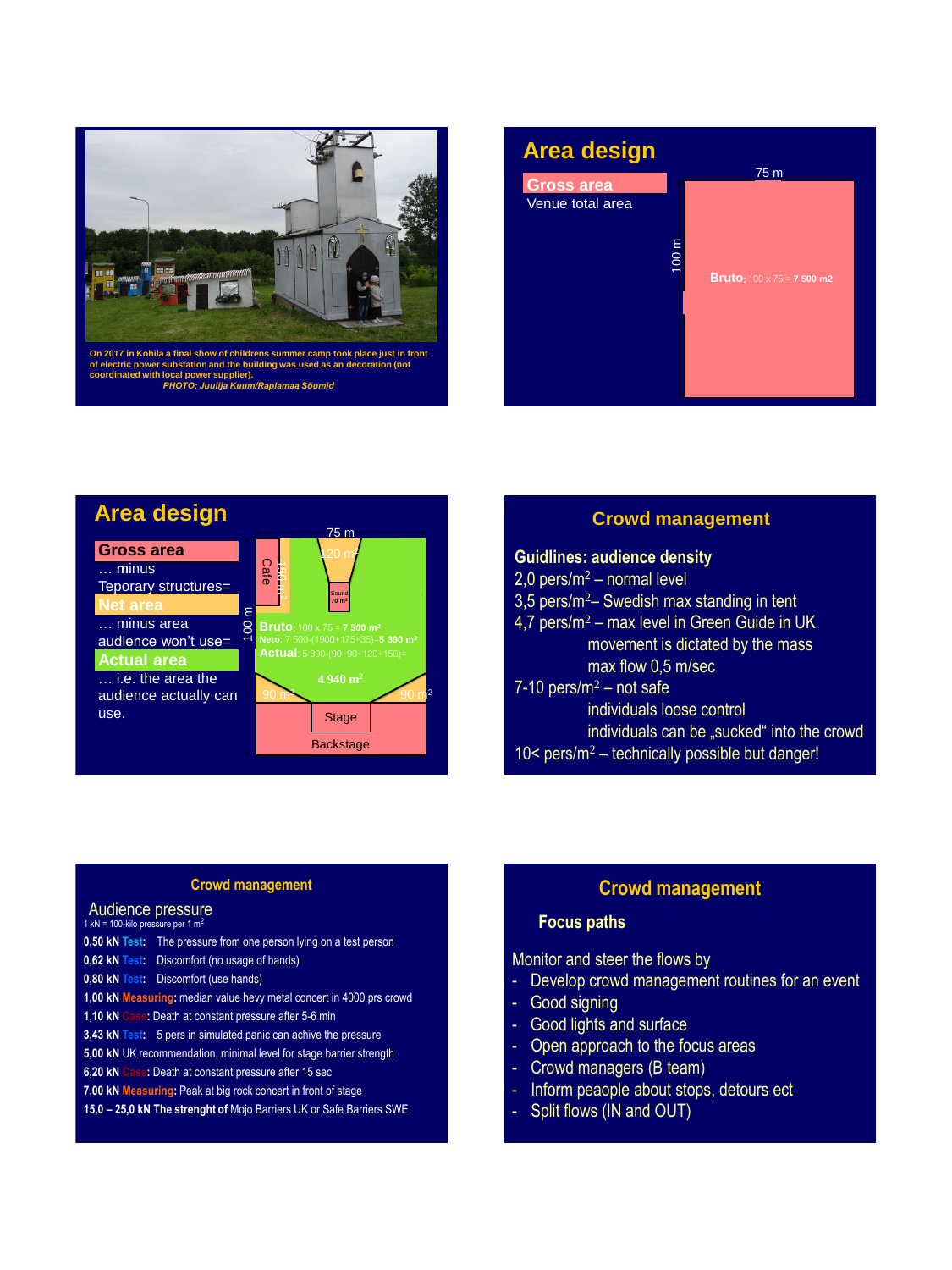





### **Crowd management**

#### **Guidlines: audience density**

- 2,0 pers/m<sup>2</sup> normal level
- 3,5 pers/m<sup>2</sup> Swedish max standing in tent
- 4,7 pers/m<sup>2</sup> max level in Green Guide in UK movement is dictated by the mass max flow 0,5 m/sec

#### $7-10$  pers/m<sup>2</sup> – not safe

individuals loose control individuals can be "sucked" into the crowd  $10<$  pers/m<sup>2</sup> – technically possible but danger!

#### **Crowd management**

#### 1 kN = 100-kilo pressure per 1 m<sup>2</sup> Audience pressure

**0,50 kN Test:** The pressure from one person lying on a test person **0,62 kN Test:** Discomfort (no usage of hands) **0,80 kN Test:** Discomfort (use hands) **1,00 kN Measuring:** median value hevy metal concert in 4000 prs crowd **1,10 kN Case:** Death at constant pressure after 5-6 min **3,43 kN Test:** 5 pers in simulated panic can achive the pressure **5,00 kN** UK recommendation, minimal level for stage barrier strength **6,20 kN Case:** Death at constant pressure after 15 sec **7,00 kN Measuring:** Peak at big rock concert in front of stage **15,0 – 25,0 kN The strenght of** Mojo Barriers UK or Safe Barriers SWE

# **Crowd management**

# **Focus paths**

Monitor and steer the flows by

- Develop crowd management routines for an event
- Good signing
- Good lights and surface
- Open approach to the focus areas
- Crowd managers (B team)
- Inform peaople about stops, detours ect
- Split flows (IN and OUT)